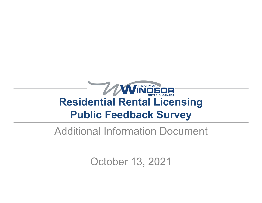

#### Additional Information Document

October 13, 2021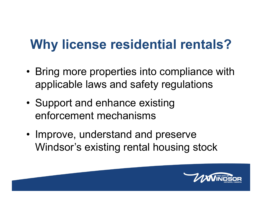#### **Why license residential rentals?**

- Bring more properties into compliance with applicable laws and safety regulations
- • Support and enhance existing enforcement mechanisms
- Improve, understand and preserve Windsor's existing rental housing stock

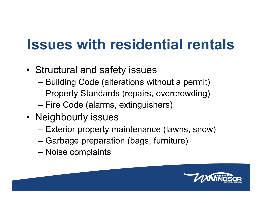## **Issues with residential rentals**

- Structural and safety issues
	- –Building Code (alterations without a permit)
	- –Property Standards (repairs, overcrowding)
	- –Fire Code (alarms, extinguishers)
- Neighbourly issues
	- –Exterior property maintenance (lawns, snow)
	- –Garbage preparation (bags, furniture)
	- –Noise complaints

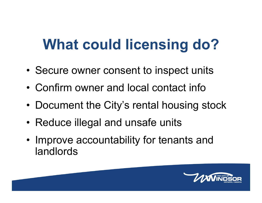# **What could licensing do?**

- •Secure owner consent to inspect units
- Confirm owner and local contact info
- •Document the City's rental housing stock
- •Reduce illegal and unsafe units
- • Improve accountability for tenants and landlords

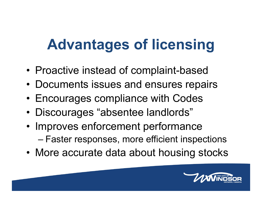# **Advantages of licensing**

- •Proactive instead of complaint-based
- Documents issues and ensures repairs
- •Encourages compliance with Codes
- •Discourages "absentee landlords"
- • Improves enforcement performance –Faster responses, more efficient inspections
- More accurate data about housing stocks

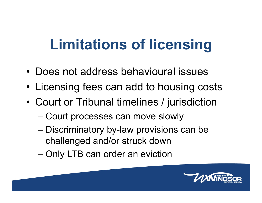# **Limitations of licensing**

- Does not address behavioural issues
- •Licensing fees can add to housing costs
- • Court or Tribunal timelines / jurisdiction
	- –Court processes can move slowly
	- – Discriminatory by-law provisions can be challenged and/or struck down
	- –Only LTB can order an eviction

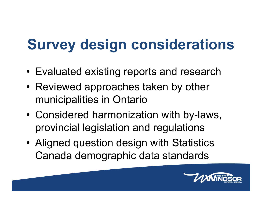# **Survey design considerations**

- Evaluated existing reports and research
- Reviewed approaches taken by other municipalities in Ontario
- • Considered harmonization with by-laws, provincial legislation and regulations
- • Aligned question design with Statistics Canada demographic data standards

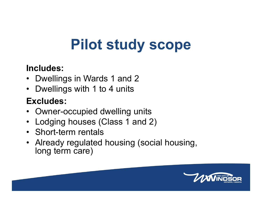# **Pilot study scope**

#### **Includes:**

- Dwellings in Wards 1 and 2
- $\bullet$ Dwellings with 1 to 4 units

#### **Excludes:**

- Owner-occupied dwelling units
- $\bullet$ Lodging houses (Class 1 and 2)
- Short-term rentals
- Already regulated housing (social housing, long term care)

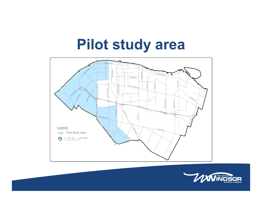### **Pilot study area**



![](_page_8_Picture_2.jpeg)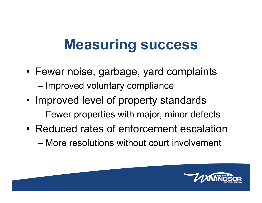### **Measuring success**

- Fewer noise, garbage, yard complaints –Improved voluntary compliance
- • Improved level of property standards –Fewer properties with major, minor defects
- Reduced rates of enforcement escalation– More resolutions without court involvement

![](_page_9_Picture_4.jpeg)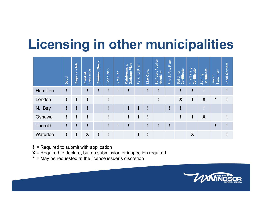#### **Licensing in other municipalities**

|                | Deed | Corporate Info | <b>Insurance</b><br>៲៵<br>Proof | <b>Criminal Check</b> | Plan<br>Floor | Plan<br>Site | Plan<br>ance<br>Garbage<br><b>Mainten</b> | Plan<br>Parking | Cert.<br>⋖<br>$\tilde{a}$ | Self-certification<br>checklist | Plan<br>Safety<br>Fire | Certificate<br><b>Building</b> | Certificate<br>Safety<br>Fire | Certificate<br>Zoning | <b>Statement</b><br>Sworn | <b>Local Contact</b> |
|----------------|------|----------------|---------------------------------|-----------------------|---------------|--------------|-------------------------------------------|-----------------|---------------------------|---------------------------------|------------------------|--------------------------------|-------------------------------|-----------------------|---------------------------|----------------------|
| Hamilton       | I    |                |                                 |                       | I             |              |                                           |                 |                           |                                 |                        |                                | ļ                             | Ч                     |                           |                      |
| London         | Ī    |                | Ī                               |                       | Ţ             |              |                                           |                 |                           |                                 |                        | X                              | ļ                             | X                     | *                         |                      |
| N. Bay         | ļ    |                | ļ                               |                       | ļ             |              |                                           |                 |                           |                                 |                        |                                |                               |                       |                           |                      |
| Oshawa         | ļ    | и              | I                               |                       | I             |              |                                           | н               |                           |                                 |                        |                                | ļ                             | X                     |                           |                      |
| <b>Thorold</b> | ļ    |                | I                               |                       | ļ             |              |                                           |                 |                           |                                 |                        |                                |                               |                       |                           |                      |
| Waterloo       | ļ    | и              | X                               |                       |               |              |                                           |                 |                           |                                 |                        |                                | X                             |                       |                           |                      |

= Required to submit with application **!**

- $\boldsymbol{\mathsf{X}}$  = Required to declare, but no submission or inspection required
- = May be requested at the licence issuer's discretion **\***

![](_page_10_Picture_5.jpeg)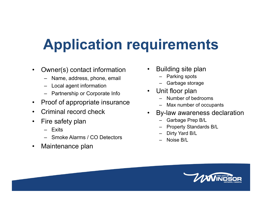# **Application requirements**

- $\bullet$  Owner(s) contact information
	- Name, address, phone, email
	- –Local agent information
	- Partnership or Corporate Info
- $\bullet$ Proof of appropriate insurance
- •Criminal record check
- $\bullet$  Fire safety plan
	- Exits
	- Smoke Alarms / CO Detectors
- •Maintenance plan
- • Building site plan
	- –Parking spots
	- –Garbage storage
- • Unit floor plan
	- –Number of bedrooms
	- Max number of occupants
- • By-law awareness declaration
	- –Garbage Prep B/L
	- –Property Standards B/L
	- –Dirty Yard B/L
	- –Noise B/L

![](_page_11_Picture_22.jpeg)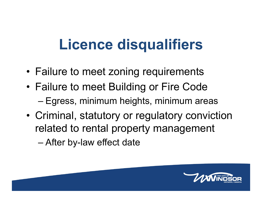# **Licence disqualifiers**

- Failure to meet zoning requirements
- • Failure to meet Building or Fire Code Egress, minimum heights, minimum areas
- • Criminal, statutory or regulatory conviction related to rental property management

–After by-law effect date

![](_page_12_Picture_5.jpeg)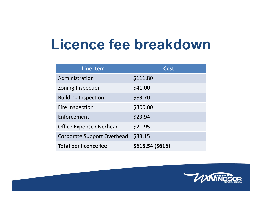### **Licence fee breakdown**

| <b>Line Item</b>                  | <b>Cost</b>      |
|-----------------------------------|------------------|
| Administration                    | \$111.80         |
| Zoning Inspection                 | \$41.00          |
| <b>Building Inspection</b>        | \$83.70          |
| Fire Inspection                   | \$300.00         |
| Enforcement                       | \$23.94          |
| <b>Office Expense Overhead</b>    | \$21.95          |
| <b>Corporate Support Overhead</b> | \$33.15          |
| <b>Total per licence fee</b>      | \$615.54 (\$616) |

![](_page_13_Picture_2.jpeg)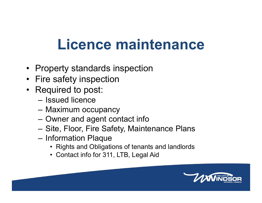# **Licence maintenance**

- Property standards inspection
- Fire safety inspection
- Required to post:
	- Issued licence
	- Maximum occupancy
	- –Owner and agent contact info
	- Site, Floor, Fire Safety, Maintenance Plans
	- Information Plaque
		- Rights and Obligations of tenants and landlords
		- Contact info for 311, LTB, Legal Aid

![](_page_14_Picture_11.jpeg)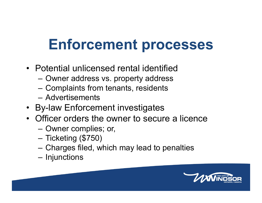### **Enforcement processes**

- Potential unlicensed rental identified
	- Owner address vs. property address
	- –Complaints from tenants, residents
	- Advertisements
- By-law Enforcement investigates
- Officer orders the owner to secure a licence
	- Owner complies; or,
	- Ticketing (\$750)
	- –Charges filed, which may lead to penalties
	- **Injunctions**

![](_page_15_Picture_11.jpeg)